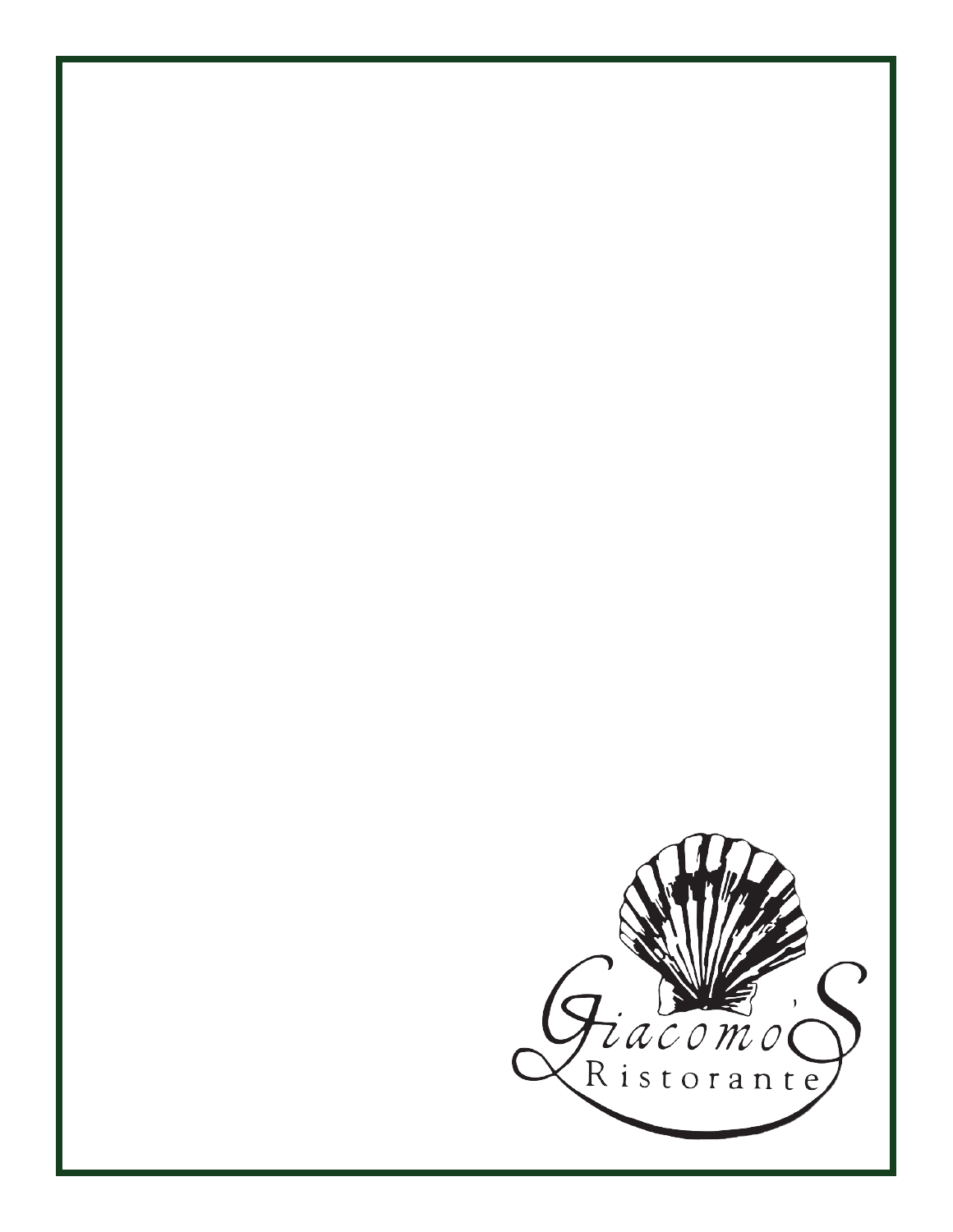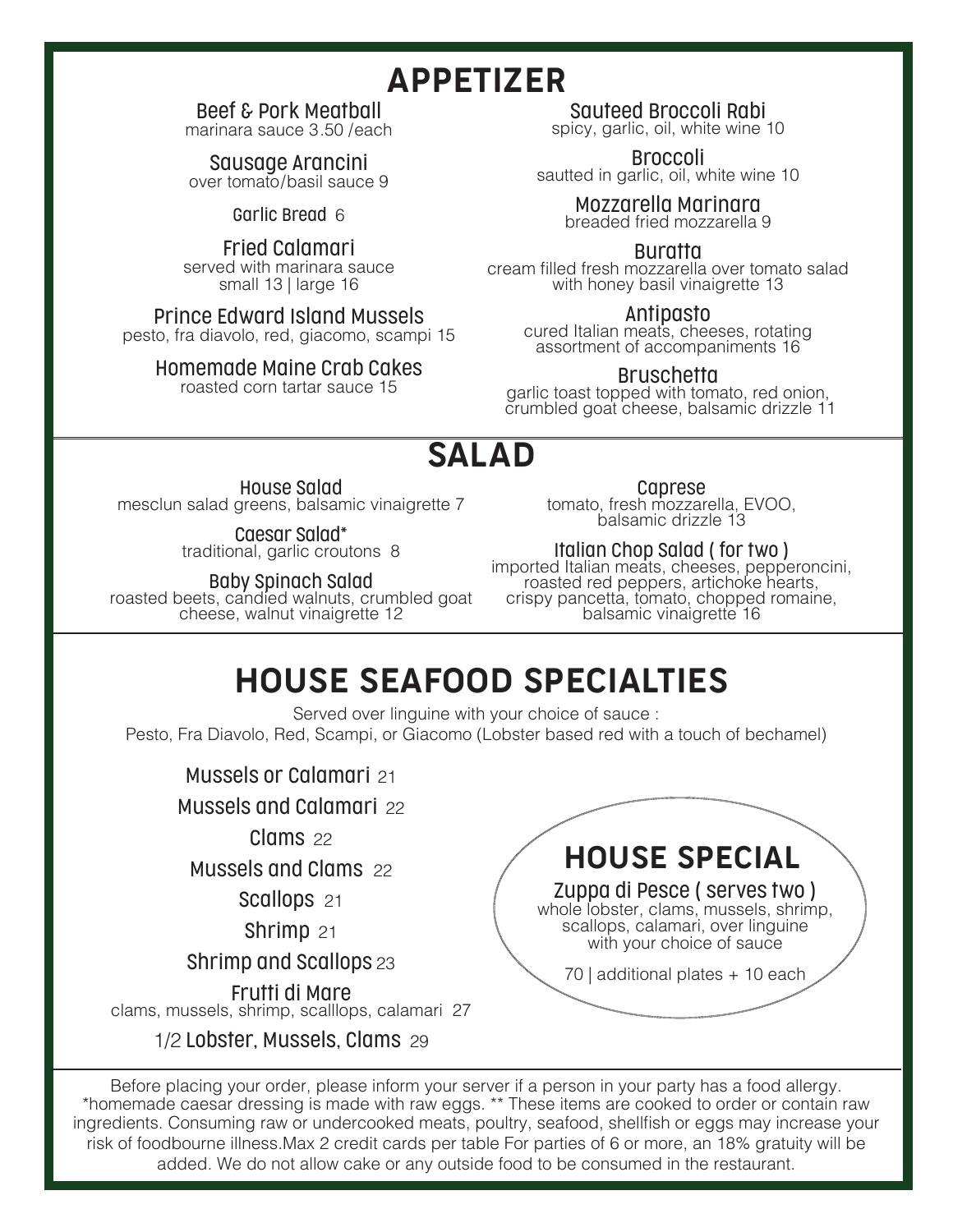# APPETIZER

### Beef & Pork Meatball

marinara sauce 3.50 /each

Sausage Arancini over tomato/basil sauce 9

Garlic Bread 6

Fried Calamari served with marinara sauce small 13 | large 16

Prince Edward Island Mussels pesto, fra diavolo, red, giacomo, scampi 15

### Homemade Maine Crab Cakes

roasted corn tartar sauce 15

Sauteed Broccoli Rabi

spicy, garlic, oil, white wine 10

Broccoli sautted in garlic, oil, white wine 10

> Mozzarella Marinara breaded fried mozzarella 9

> > Buratta

cream filled fresh mozzarella over tomato salad with honey basil vinaigrette 13

Antipasto cured Italian meats, cheeses, rotating assortment of accompaniments 16

### **Bruschetta**

garlic toast topped with tomato, red onion, crumbled goat cheese, balsamic drizzle 11

## SALAD

House Salad

mesclun salad greens, balsamic vinaigrette 7

Caesar Salad\* traditional, garlic croutons 8

**Baby Spinach Salad**<br>roasted beets, candied walnuts, crumbled goat<br>cheese, walnut vinaigrette 12

**Caprese**<br>tomato, fresh mozzarella, EVOO, balsamic drizzle 13

Italian Chop Salad ( for two ) imported Italian meats, cheeses, pepperoncini, roasted red peppers, artichoke hearts, crispy pancetta, tomato, chopped romaine, balsamic vinaigrette 16

# HOUSE SEAFOOD SPECIALTIES

Served over linguine with your choice of sauce : Pesto, Fra Diavolo, Red, Scampi, or Giacomo (Lobster based red with a touch of bechamel)

Mussels or Calamari 21

Mussels and Calamari 22

Clams 22

Mussels and Clams 22

Scallops 21

Shrimp 21

Shrimp and Scallops 23

Frutti di Mare clams, mussels, shrimp, scalllops, calamari 27

1/2 Lobster, Mussels, Clams 29



Before placing your order, please inform your server if a person in your party has a food allergy. \*homemade caesar dressing is made with raw eggs. \*\* These items are cooked to order or contain raw ingredients. Consuming raw or undercooked meats, poultry, seafood, shellfish or eggs may increase your risk of foodbourne illness.Max 2 credit cards per table For parties of 6 or more, an 18% gratuity will be added. We do not allow cake or any outside food to be consumed in the restaurant.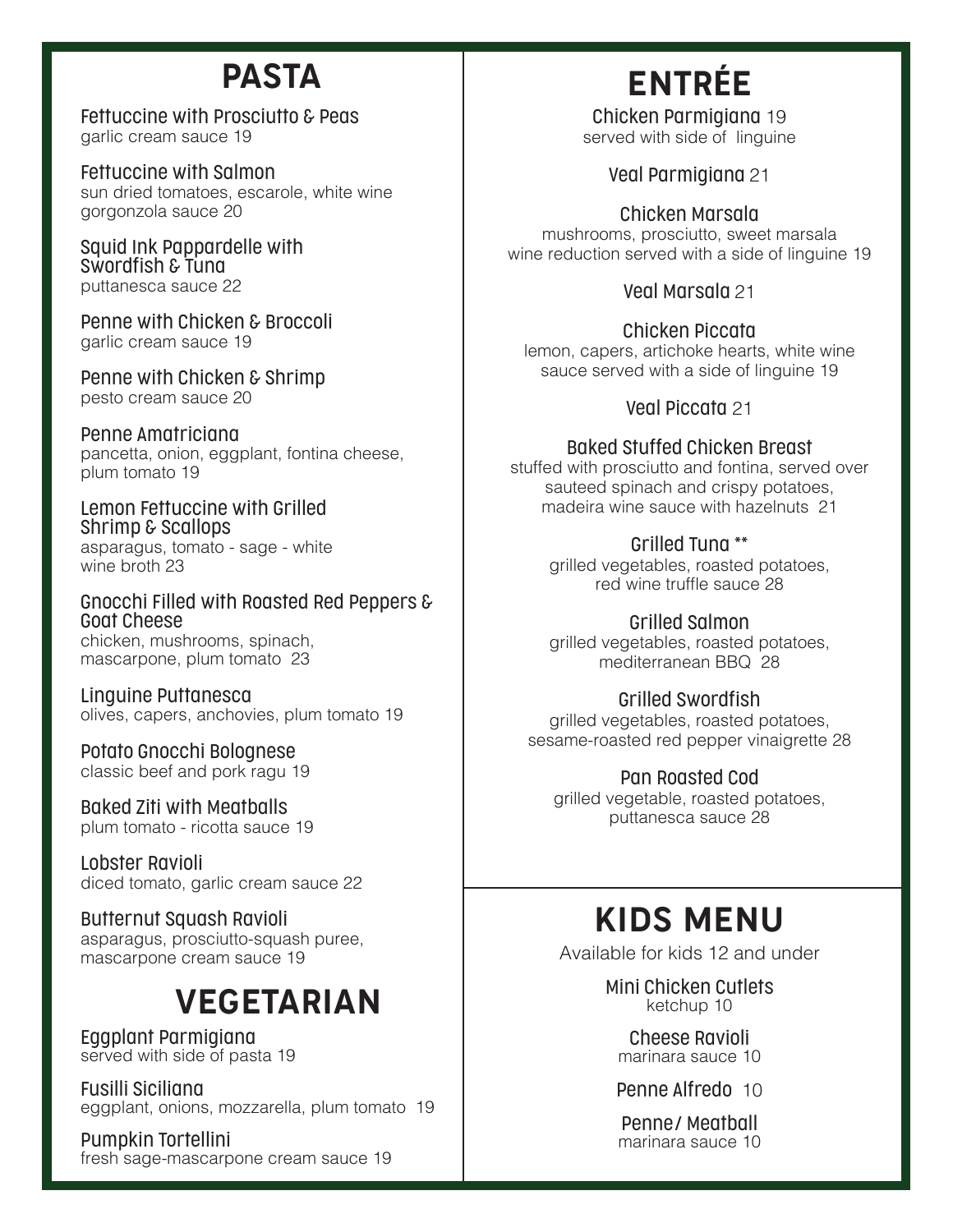# PASTA

Fettuccine with Prosciutto & Peas garlic cream sauce 19

Fettuccine with Salmon sun dried tomatoes, escarole, white wine gorgonzola sauce 20

Squid Ink Pappardelle with Swordfish & Tuna puttanesca sauce 22

Penne with Chicken & Broccoli garlic cream sauce 19

Penne with Chicken & Shrimp pesto cream sauce 20

Penne Amatriciana pancetta, onion, eggplant, fontina cheese, plum tomato 19

Lemon Fettuccine with Grilled Shrimp & Scallops asparagus, tomato - sage - white wine broth 23

Gnocchi Filled with Roasted Red Peppers & Goat Cheese chicken, mushrooms, spinach, mascarpone, plum tomato 23

Linguine Puttanesca olives, capers, anchovies, plum tomato 19

Potato Gnocchi Bolognese classic beef and pork ragu 19

Baked Ziti with Meatballs plum tomato - ricotta sauce 19

Lobster Ravioli diced tomato, garlic cream sauce 22

Butternut Squash Ravioli asparagus, prosciutto-squash puree, mascarpone cream sauce 19

# VEGETARIAN

Eggplant Parmigiana served with side of pasta 19

Fusilli Siciliana eggplant, onions, mozzarella, plum tomato 19

Pumpkin Tortellini fresh sage-mascarpone cream sauce 19

# ENTR**É**E

Chicken Parmigiana 19 served with side of linguine

Veal Parmigiana 21

Chicken Marsala mushrooms, prosciutto, sweet marsala wine reduction served with a side of linguine 19

Veal Marsala 21

Chicken Piccata lemon, capers, artichoke hearts, white wine sauce served with a side of linguine 19

### Veal Piccata 21

Baked Stuffed Chicken Breast

stuffed with prosciutto and fontina, served over sauteed spinach and crispy potatoes, madeira wine sauce with hazelnuts 21

### Grilled Tuna \*\*

grilled vegetables, roasted potatoes, red wine truffle sauce 28

Grilled Salmon grilled vegetables, roasted potatoes, mediterranean BBQ 28

Grilled Swordfish

grilled vegetables, roasted potatoes, sesame-roasted red pepper vinaigrette 28

Pan Roasted Cod

grilled vegetable, roasted potatoes, puttanesca sauce 28

# KIDS MENU

Available for kids 12 and under

Mini Chicken Cutlets ketchup 10

Cheese Ravioli marinara sauce 10

Penne Alfredo 10

Penne/ Meatball marinara sauce 10